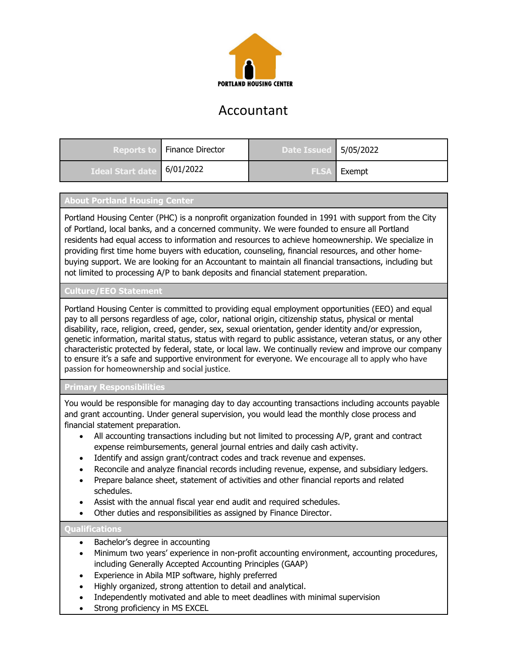

# Accountant

|                            | Reports to Finance Director | Date Issued   5/05/2022 |        |
|----------------------------|-----------------------------|-------------------------|--------|
| Ideal Start date 6/01/2022 |                             | <b>FLSA</b>             | Exempt |

# **About Portland Housing Center**

Portland Housing Center (PHC) is a nonprofit organization founded in 1991 with support from the City of Portland, local banks, and a concerned community. We were founded to ensure all Portland residents had equal access to information and resources to achieve homeownership. We specialize in providing first time home buyers with education, counseling, financial resources, and other homebuying support. We are looking for an Accountant to maintain all financial transactions, including but not limited to processing A/P to bank deposits and financial statement preparation.

# **Culture/EEO Statement**

Portland Housing Center is committed to providing equal employment opportunities (EEO) and equal pay to all persons regardless of age, color, national origin, citizenship status, physical or mental disability, race, religion, creed, gender, sex, sexual orientation, gender identity and/or expression, genetic information, marital status, status with regard to public assistance, veteran status, or any other characteristic protected by federal, state, or local law. We continually review and improve our company to ensure it's a safe and supportive environment for everyone. We encourage all to apply who have passion for homeownership and social justice.

#### **Primary Responsibilities**

You would be responsible for managing day to day accounting transactions including accounts payable and grant accounting. Under general supervision, you would lead the monthly close process and financial statement preparation.

- All accounting transactions including but not limited to processing A/P, grant and contract expense reimbursements, general journal entries and daily cash activity.
- Identify and assign grant/contract codes and track revenue and expenses.
- Reconcile and analyze financial records including revenue, expense, and subsidiary ledgers.
- Prepare balance sheet, statement of activities and other financial reports and related schedules.
- Assist with the annual fiscal year end audit and required schedules.
- Other duties and responsibilities as assigned by Finance Director.

# **Qualifications**

- Bachelor's degree in accounting
- Minimum two years' experience in non-profit accounting environment, accounting procedures, including Generally Accepted Accounting Principles (GAAP)
- Experience in Abila MIP software, highly preferred
- Highly organized, strong attention to detail and analytical.
- Independently motivated and able to meet deadlines with minimal supervision
- Strong proficiency in MS EXCEL